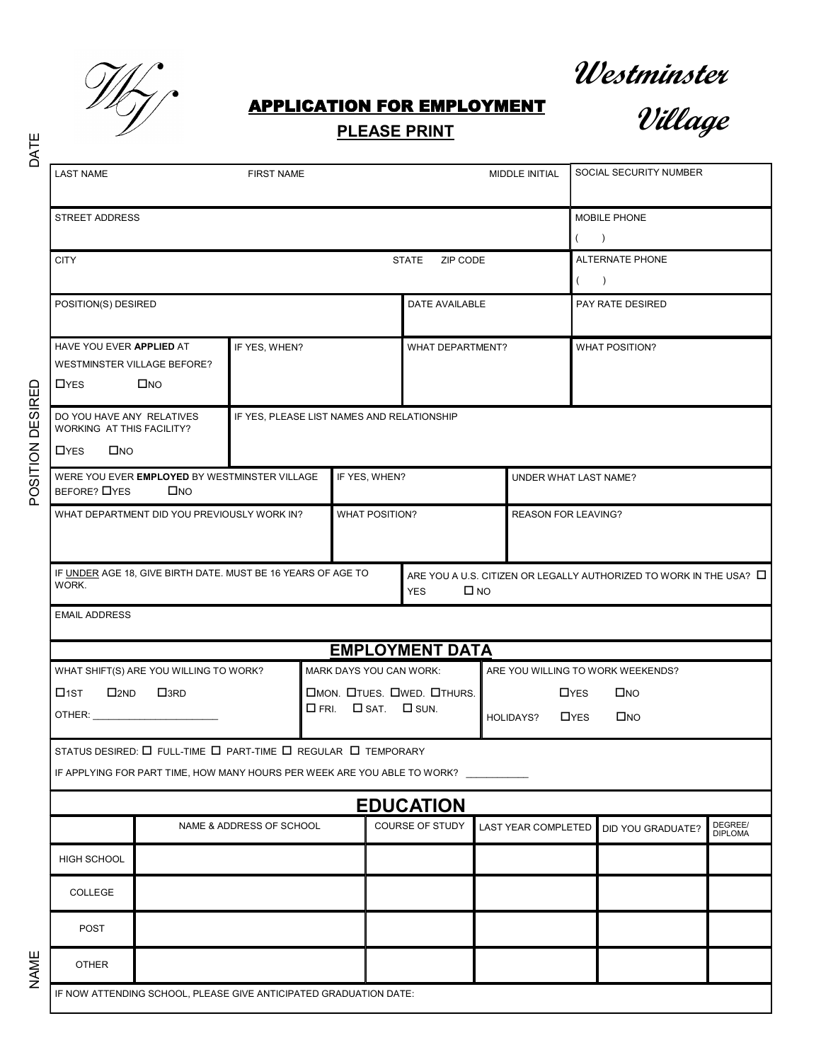

# **Westminster**

### APPLICATION FOR EMPLOYMENT

## **PLEASE PRINT**



| DATE           | <u>PLEASE PRINT</u><br>c nungo                                                                        |                                                                                                      |  |                |                                                              |                                       |                                                                                            |                            |                            |                            |                                  |                           |
|----------------|-------------------------------------------------------------------------------------------------------|------------------------------------------------------------------------------------------------------|--|----------------|--------------------------------------------------------------|---------------------------------------|--------------------------------------------------------------------------------------------|----------------------------|----------------------------|----------------------------|----------------------------------|---------------------------|
|                | <b>LAST NAME</b>                                                                                      | <b>FIRST NAME</b>                                                                                    |  |                |                                                              |                                       |                                                                                            | MIDDLE INITIAL             |                            | SOCIAL SECURITY NUMBER     |                                  |                           |
|                | <b>STREET ADDRESS</b>                                                                                 |                                                                                                      |  |                |                                                              |                                       |                                                                                            |                            |                            |                            | MOBILE PHONE<br>$\rightarrow$    |                           |
|                | <b>CITY</b>                                                                                           |                                                                                                      |  |                |                                                              |                                       | <b>STATE</b><br>ZIP CODE                                                                   |                            |                            | $\left($                   | ALTERNATE PHONE<br>$\rightarrow$ |                           |
|                | POSITION(S) DESIRED                                                                                   |                                                                                                      |  |                |                                                              |                                       | DATE AVAILABLE                                                                             |                            |                            | PAY RATE DESIRED           |                                  |                           |
|                | HAVE YOU EVER APPLIED AT<br>$\Box$ YES                                                                | IF YES, WHEN?<br>WESTMINSTER VILLAGE BEFORE?<br>$\square$ NO                                         |  |                | WHAT DEPARTMENT?                                             |                                       |                                                                                            | <b>WHAT POSITION?</b>      |                            |                            |                                  |                           |
| <b>DESIRED</b> |                                                                                                       | DO YOU HAVE ANY RELATIVES<br>IF YES, PLEASE LIST NAMES AND RELATIONSHIP<br>WORKING AT THIS FACILITY? |  |                |                                                              |                                       |                                                                                            |                            |                            |                            |                                  |                           |
|                | $\Box$ YES<br>$\square$ NO                                                                            |                                                                                                      |  |                |                                                              |                                       |                                                                                            |                            |                            |                            |                                  |                           |
| POSITION       | IF YES, WHEN?<br>WERE YOU EVER EMPLOYED BY WESTMINSTER VILLAGE<br>BEFORE? <b>OYES</b><br>$\square$ NO |                                                                                                      |  |                |                                                              |                                       | UNDER WHAT LAST NAME?                                                                      |                            |                            |                            |                                  |                           |
|                | WHAT DEPARTMENT DID YOU PREVIOUSLY WORK IN?                                                           |                                                                                                      |  |                | <b>WHAT POSITION?</b>                                        |                                       | <b>REASON FOR LEAVING?</b>                                                                 |                            |                            |                            |                                  |                           |
|                | IF UNDER AGE 18, GIVE BIRTH DATE. MUST BE 16 YEARS OF AGE TO<br>WORK.                                 |                                                                                                      |  |                |                                                              | <b>YES</b>                            | ARE YOU A U.S. CITIZEN OR LEGALLY AUTHORIZED TO WORK IN THE USA? $\square$<br>$\square$ NO |                            |                            |                            |                                  |                           |
|                | <b>EMAIL ADDRESS</b>                                                                                  |                                                                                                      |  |                |                                                              |                                       |                                                                                            |                            |                            |                            |                                  |                           |
|                | <b>EMPLOYMENT DATA</b>                                                                                |                                                                                                      |  |                |                                                              |                                       |                                                                                            |                            |                            |                            |                                  |                           |
|                | WHAT SHIFT(S) ARE YOU WILLING TO WORK?                                                                |                                                                                                      |  |                | MARK DAYS YOU CAN WORK:<br>ARE YOU WILLING TO WORK WEEKENDS? |                                       |                                                                                            |                            |                            |                            |                                  |                           |
|                | $\square$ 1ST                                                                                         | $\square$ <sub>2ND</sub><br>$\square$ <sub>3RD</sub>                                                 |  |                |                                                              | <b>CIMON. CITUES. CIWED. CITHURS.</b> |                                                                                            |                            |                            | $\Box$ YES<br>$\square$ NO |                                  |                           |
|                |                                                                                                       |                                                                                                      |  | $\square$ FRI. | $\Box$ SAT. $\Box$ SUN.<br><b>HOLIDAYS?</b>                  |                                       |                                                                                            | $\Box$ YES<br>$\square$ NO |                            |                            |                                  |                           |
|                | STATUS DESIRED: $\square$ FULL-TIME $\square$ PART-TIME $\square$ REGULAR $\square$ TEMPORARY         |                                                                                                      |  |                |                                                              |                                       |                                                                                            |                            |                            |                            |                                  |                           |
|                | IF APPLYING FOR PART TIME, HOW MANY HOURS PER WEEK ARE YOU ABLE TO WORK?                              |                                                                                                      |  |                |                                                              |                                       |                                                                                            |                            |                            |                            |                                  |                           |
|                | <b>EDUCATION</b>                                                                                      |                                                                                                      |  |                |                                                              |                                       |                                                                                            |                            |                            |                            |                                  |                           |
|                |                                                                                                       | NAME & ADDRESS OF SCHOOL                                                                             |  |                |                                                              |                                       | COURSE OF STUDY                                                                            |                            | <b>LAST YEAR COMPLETED</b> |                            | DID YOU GRADUATE?                | DEGREE/<br><b>DIPLOMA</b> |
|                | HIGH SCHOOL                                                                                           |                                                                                                      |  |                |                                                              |                                       |                                                                                            |                            |                            |                            |                                  |                           |
|                | COLLEGE                                                                                               |                                                                                                      |  |                |                                                              |                                       |                                                                                            |                            |                            |                            |                                  |                           |
|                | <b>POST</b>                                                                                           |                                                                                                      |  |                |                                                              |                                       |                                                                                            |                            |                            |                            |                                  |                           |
| NAME           | <b>OTHER</b>                                                                                          |                                                                                                      |  |                |                                                              |                                       |                                                                                            |                            |                            |                            |                                  |                           |
|                |                                                                                                       | IF NOW ATTENDING SCHOOL, PLEASE GIVE ANTICIPATED GRADUATION DATE:                                    |  |                |                                                              |                                       |                                                                                            |                            |                            |                            |                                  |                           |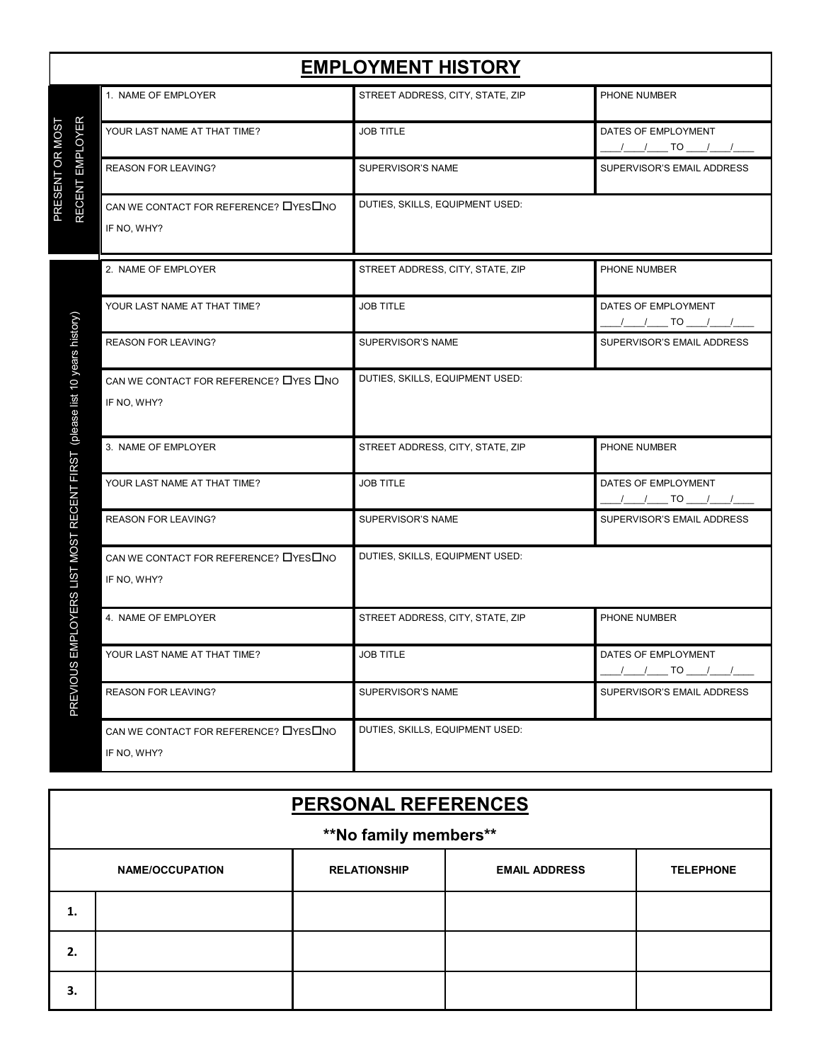|                                               | <b>EMPLOYMENT HISTORY</b>                              |                                  |                                          |  |  |  |
|-----------------------------------------------|--------------------------------------------------------|----------------------------------|------------------------------------------|--|--|--|
|                                               | 1. NAME OF EMPLOYER                                    | STREET ADDRESS, CITY, STATE, ZIP | PHONE NUMBER                             |  |  |  |
| <b>EMPLOYER</b><br>PRESENT OR MOST            | YOUR LAST NAME AT THAT TIME?                           | <b>JOB TITLE</b>                 | DATES OF EMPLOYMENT<br><u>/ / TO / /</u> |  |  |  |
|                                               | <b>REASON FOR LEAVING?</b>                             | SUPERVISOR'S NAME                | SUPERVISOR'S EMAIL ADDRESS               |  |  |  |
| <b>RECENT</b>                                 | CAN WE CONTACT FOR REFERENCE? LYES LNO<br>IF NO, WHY?  | DUTIES, SKILLS, EQUIPMENT USED:  |                                          |  |  |  |
|                                               | 2. NAME OF EMPLOYER                                    | STREET ADDRESS, CITY, STATE, ZIP | PHONE NUMBER                             |  |  |  |
|                                               | YOUR LAST NAME AT THAT TIME?                           | <b>JOB TITLE</b>                 | DATES OF EMPLOYMENT<br><u>/ / TO / /</u> |  |  |  |
|                                               | <b>REASON FOR LEAVING?</b>                             | SUPERVISOR'S NAME                | SUPERVISOR'S EMAIL ADDRESS               |  |  |  |
| (please list 10 years history)                | CAN WE CONTACT FOR REFERENCE? LYES LINO<br>IF NO, WHY? | DUTIES, SKILLS, EQUIPMENT USED:  |                                          |  |  |  |
|                                               | 3. NAME OF EMPLOYER                                    | STREET ADDRESS, CITY, STATE, ZIP | PHONE NUMBER                             |  |  |  |
| <b><i>MPLOYERS LIST MOST RECENT FIRST</i></b> | YOUR LAST NAME AT THAT TIME?                           | <b>JOB TITLE</b>                 | DATES OF EMPLOYMENT<br><u>/ / TO / /</u> |  |  |  |
|                                               | <b>REASON FOR LEAVING?</b>                             | SUPERVISOR'S NAME                | SUPERVISOR'S EMAIL ADDRESS               |  |  |  |
|                                               | CAN WE CONTACT FOR REFERENCE? □YES□NO<br>IF NO, WHY?   | DUTIES, SKILLS, EQUIPMENT USED:  |                                          |  |  |  |
|                                               | 4. NAME OF EMPLOYER                                    | STREET ADDRESS, CITY, STATE, ZIP | PHONE NUMBER                             |  |  |  |
| 面                                             | YOUR LAST NAME AT THAT TIME?                           | <b>JOB TITLE</b>                 | DATES OF EMPLOYMENT<br>/ / TO / /        |  |  |  |
| <b>PREVIOUS</b>                               | <b>REASON FOR LEAVING?</b>                             | SUPERVISOR'S NAME                | SUPERVISOR'S EMAIL ADDRESS               |  |  |  |
|                                               | CAN WE CONTACT FOR REFERENCE? □YES□NO<br>IF NO, WHY?   | DUTIES, SKILLS, EQUIPMENT USED:  |                                          |  |  |  |

| <b>PERSONAL REFERENCES</b> |  |                     |                      |                  |  |  |
|----------------------------|--|---------------------|----------------------|------------------|--|--|
| **No family members**      |  |                     |                      |                  |  |  |
| <b>NAME/OCCUPATION</b>     |  | <b>RELATIONSHIP</b> | <b>EMAIL ADDRESS</b> | <b>TELEPHONE</b> |  |  |
| 1.                         |  |                     |                      |                  |  |  |
| 2.                         |  |                     |                      |                  |  |  |
| 3.                         |  |                     |                      |                  |  |  |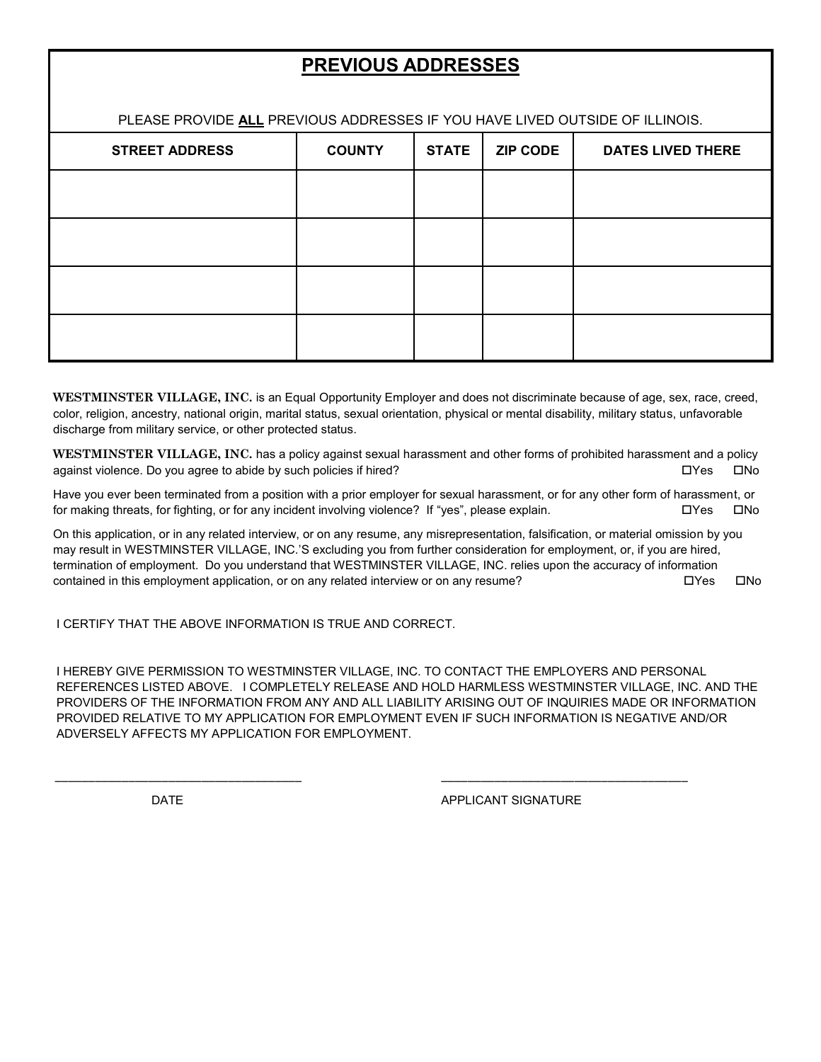## **PREVIOUS ADDRESSES**

PLEASE PROVIDE **ALL** PREVIOUS ADDRESSES IF YOU HAVE LIVED OUTSIDE OF ILLINOIS.

| <b>STREET ADDRESS</b> | <b>COUNTY</b> | <b>STATE</b> | <b>ZIP CODE</b> | <b>DATES LIVED THERE</b> |
|-----------------------|---------------|--------------|-----------------|--------------------------|
|                       |               |              |                 |                          |
|                       |               |              |                 |                          |
|                       |               |              |                 |                          |
|                       |               |              |                 |                          |

**WESTMINSTER VILLAGE, INC.** is an Equal Opportunity Employer and does not discriminate because of age, sex, race, creed, color, religion, ancestry, national origin, marital status, sexual orientation, physical or mental disability, military status, unfavorable discharge from military service, or other protected status.

**WESTMINSTER VILLAGE, INC.** has a policy against sexual harassment and other forms of prohibited harassment and a policy against violence. Do you agree to abide by such policies if hired?  $\square$  Yes  $\square$  No

Have you ever been terminated from a position with a prior employer for sexual harassment, or for any other form of harassment, or for making threats, for fighting, or for any incident involving violence? If "yes", please explain.  $\square Y$ es  $\square$ No

On this application, or in any related interview, or on any resume, any misrepresentation, falsification, or material omission by you may result in WESTMINSTER VILLAGE, INC.'S excluding you from further consideration for employment, or, if you are hired, termination of employment. Do you understand that WESTMINSTER VILLAGE, INC. relies upon the accuracy of information contained in this employment application, or on any related interview or on any resume?  $\square Y$ es  $\square$ No

I CERTIFY THAT THE ABOVE INFORMATION IS TRUE AND CORRECT.

I HEREBY GIVE PERMISSION TO WESTMINSTER VILLAGE, INC. TO CONTACT THE EMPLOYERS AND PERSONAL REFERENCES LISTED ABOVE. I COMPLETELY RELEASE AND HOLD HARMLESS WESTMINSTER VILLAGE, INC. AND THE PROVIDERS OF THE INFORMATION FROM ANY AND ALL LIABILITY ARISING OUT OF INQUIRIES MADE OR INFORMATION PROVIDED RELATIVE TO MY APPLICATION FOR EMPLOYMENT EVEN IF SUCH INFORMATION IS NEGATIVE AND/OR ADVERSELY AFFECTS MY APPLICATION FOR EMPLOYMENT.

\_\_\_\_\_\_\_\_\_\_\_\_\_\_\_\_\_\_\_\_\_\_\_\_\_\_\_\_\_\_\_\_\_\_\_\_\_ \_\_\_\_\_\_\_\_\_\_\_\_\_\_\_\_\_\_\_\_\_\_\_\_\_\_\_\_\_\_\_\_\_\_\_\_\_

DATE **APPLICANT SIGNATURE**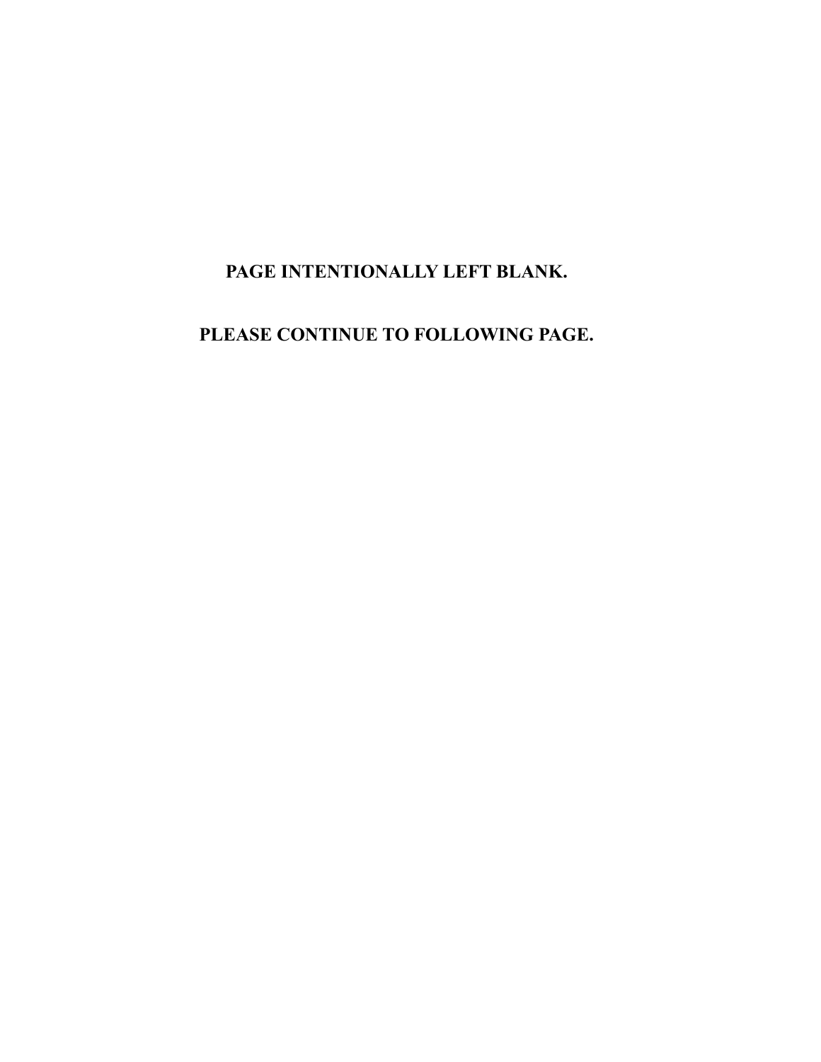## **PAGE INTENTIONALLY LEFT BLANK.**

**PLEASE CONTINUE TO FOLLOWING PAGE.**